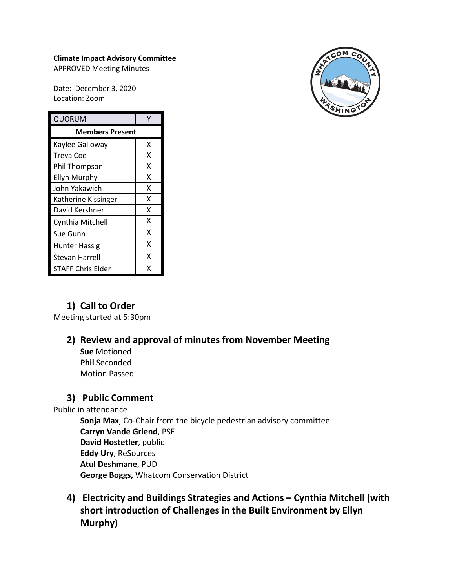#### **Climate Impact Advisory Committee**

APPROVED Meeting Minutes

Date: December 3, 2020 Location: Zoom

| QUORUM                 | ٧ |
|------------------------|---|
| <b>Members Present</b> |   |
| Kaylee Galloway        | x |
| Treva Coe              | X |
| Phil Thompson          | x |
| <b>Ellyn Murphy</b>    | X |
| John Yakawich          | x |
| Katherine Kissinger    | x |
| David Kershner         | x |
| Cynthia Mitchell       | X |
| Sue Gunn               | x |
| Hunter Hassig          | x |
| Stevan Harrell         | x |
| STAFF Chris Elder      | x |



# **1) Call to Order**

Meeting started at 5:30pm

# **2) Review and approval of minutes from November Meeting**

**Sue** Motioned **Phil** Seconded Motion Passed

# **3) Public Comment**

Public in attendance

**Sonja Max**, Co-Chair from the bicycle pedestrian advisory committee **Carryn Vande Griend**, PSE **David Hostetler**, public **Eddy Ury**, ReSources **Atul Deshmane**, PUD **George Boggs,** Whatcom Conservation District

**4) Electricity and Buildings Strategies and Actions – Cynthia Mitchell (with short introduction of Challenges in the Built Environment by Ellyn Murphy)**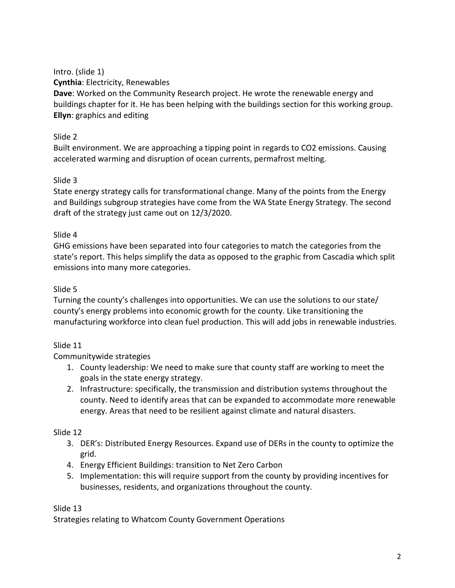Intro. (slide 1)

**Cynthia**: Electricity, Renewables

**Dave**: Worked on the Community Research project. He wrote the renewable energy and buildings chapter for it. He has been helping with the buildings section for this working group. **Ellyn**: graphics and editing

# Slide 2

Built environment. We are approaching a tipping point in regards to CO2 emissions. Causing accelerated warming and disruption of ocean currents, permafrost melting.

# Slide 3

State energy strategy calls for transformational change. Many of the points from the Energy and Buildings subgroup strategies have come from the WA State Energy Strategy. The second draft of the strategy just came out on 12/3/2020.

## Slide 4

GHG emissions have been separated into four categories to match the categories from the state's report. This helps simplify the data as opposed to the graphic from Cascadia which split emissions into many more categories.

# Slide 5

Turning the county's challenges into opportunities. We can use the solutions to our state/ county's energy problems into economic growth for the county. Like transitioning the manufacturing workforce into clean fuel production. This will add jobs in renewable industries.

# Slide 11

Communitywide strategies

- 1. County leadership: We need to make sure that county staff are working to meet the goals in the state energy strategy.
- 2. Infrastructure: specifically, the transmission and distribution systems throughout the county. Need to identify areas that can be expanded to accommodate more renewable energy. Areas that need to be resilient against climate and natural disasters.

# Slide 12

- 3. DER's: Distributed Energy Resources. Expand use of DERs in the county to optimize the grid.
- 4. Energy Efficient Buildings: transition to Net Zero Carbon
- 5. Implementation: this will require support from the county by providing incentives for businesses, residents, and organizations throughout the county.

Slide 13

Strategies relating to Whatcom County Government Operations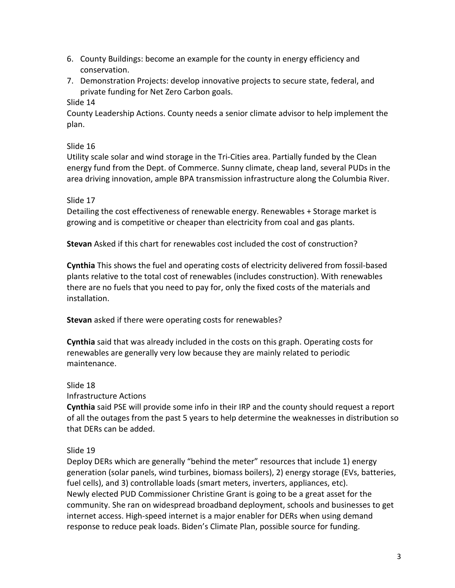- 6. County Buildings: become an example for the county in energy efficiency and conservation.
- 7. Demonstration Projects: develop innovative projects to secure state, federal, and private funding for Net Zero Carbon goals.

### Slide 14

County Leadership Actions. County needs a senior climate advisor to help implement the plan.

### Slide 16

Utility scale solar and wind storage in the Tri-Cities area. Partially funded by the Clean energy fund from the Dept. of Commerce. Sunny climate, cheap land, several PUDs in the area driving innovation, ample BPA transmission infrastructure along the Columbia River.

### Slide 17

Detailing the cost effectiveness of renewable energy. Renewables + Storage market is growing and is competitive or cheaper than electricity from coal and gas plants.

**Stevan** Asked if this chart for renewables cost included the cost of construction?

**Cynthia** This shows the fuel and operating costs of electricity delivered from fossil-based plants relative to the total cost of renewables (includes construction). With renewables there are no fuels that you need to pay for, only the fixed costs of the materials and installation.

**Stevan** asked if there were operating costs for renewables?

**Cynthia** said that was already included in the costs on this graph. Operating costs for renewables are generally very low because they are mainly related to periodic maintenance.

## Slide 18

Infrastructure Actions

**Cynthia** said PSE will provide some info in their IRP and the county should request a report of all the outages from the past 5 years to help determine the weaknesses in distribution so that DERs can be added.

## Slide 19

Deploy DERs which are generally "behind the meter" resources that include 1) energy generation (solar panels, wind turbines, biomass boilers), 2) energy storage (EVs, batteries, fuel cells), and 3) controllable loads (smart meters, inverters, appliances, etc). Newly elected PUD Commissioner Christine Grant is going to be a great asset for the community. She ran on widespread broadband deployment, schools and businesses to get internet access. High-speed internet is a major enabler for DERs when using demand response to reduce peak loads. Biden's Climate Plan, possible source for funding.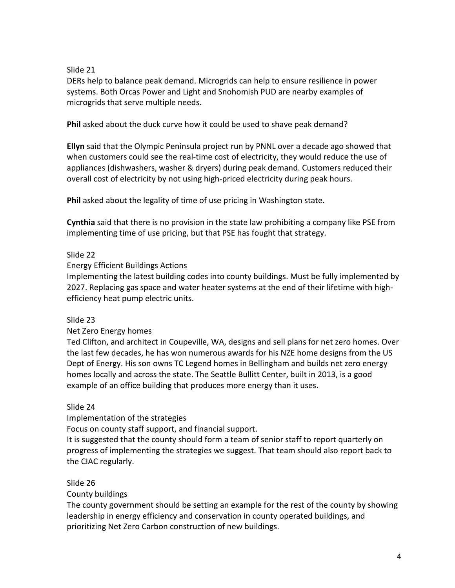#### Slide 21

DERs help to balance peak demand. Microgrids can help to ensure resilience in power systems. Both Orcas Power and Light and Snohomish PUD are nearby examples of microgrids that serve multiple needs.

**Phil** asked about the duck curve how it could be used to shave peak demand?

**Ellyn** said that the Olympic Peninsula project run by PNNL over a decade ago showed that when customers could see the real-time cost of electricity, they would reduce the use of appliances (dishwashers, washer & dryers) during peak demand. Customers reduced their overall cost of electricity by not using high-priced electricity during peak hours.

**Phil** asked about the legality of time of use pricing in Washington state.

**Cynthia** said that there is no provision in the state law prohibiting a company like PSE from implementing time of use pricing, but that PSE has fought that strategy.

### Slide 22

Energy Efficient Buildings Actions

Implementing the latest building codes into county buildings. Must be fully implemented by 2027. Replacing gas space and water heater systems at the end of their lifetime with highefficiency heat pump electric units.

#### Slide 23

Net Zero Energy homes

Ted Clifton, and architect in Coupeville, WA, designs and sell plans for net zero homes. Over the last few decades, he has won numerous awards for his NZE home designs from the US Dept of Energy. His son owns TC Legend homes in Bellingham and builds net zero energy homes locally and across the state. The Seattle Bullitt Center, built in 2013, is a good example of an office building that produces more energy than it uses.

#### Slide 24

Implementation of the strategies Focus on county staff support, and financial support. It is suggested that the county should form a team of senior staff to report quarterly on progress of implementing the strategies we suggest. That team should also report back to the CIAC regularly.

Slide 26

County buildings

The county government should be setting an example for the rest of the county by showing leadership in energy efficiency and conservation in county operated buildings, and prioritizing Net Zero Carbon construction of new buildings.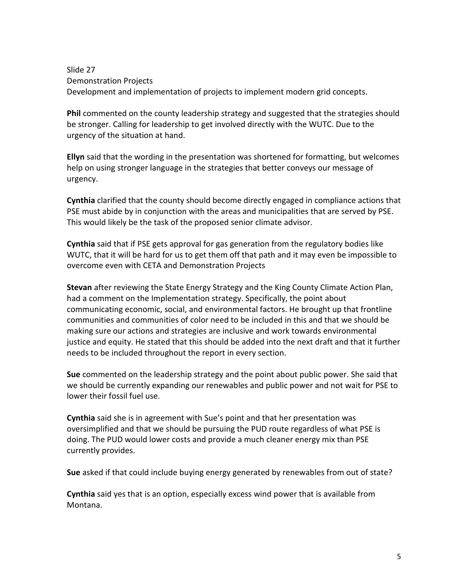Slide 27 Demonstration Projects Development and implementation of projects to implement modern grid concepts.

**Phil** commented on the county leadership strategy and suggested that the strategies should be stronger. Calling for leadership to get involved directly with the WUTC. Due to the urgency of the situation at hand.

**Ellyn** said that the wording in the presentation was shortened for formatting, but welcomes help on using stronger language in the strategies that better conveys our message of urgency.

**Cynthia** clarified that the county should become directly engaged in compliance actions that PSE must abide by in conjunction with the areas and municipalities that are served by PSE. This would likely be the task of the proposed senior climate advisor.

**Cynthia** said that if PSE gets approval for gas generation from the regulatory bodies like WUTC, that it will be hard for us to get them off that path and it may even be impossible to overcome even with CETA and Demonstration Projects

**Stevan** after reviewing the State Energy Strategy and the King County Climate Action Plan, had a comment on the Implementation strategy. Specifically, the point about communicating economic, social, and environmental factors. He brought up that frontline communities and communities of color need to be included in this and that we should be making sure our actions and strategies are inclusive and work towards environmental justice and equity. He stated that this should be added into the next draft and that it further needs to be included throughout the report in every section.

**Sue** commented on the leadership strategy and the point about public power. She said that we should be currently expanding our renewables and public power and not wait for PSE to lower their fossil fuel use.

**Cynthia** said she is in agreement with Sue's point and that her presentation was oversimplified and that we should be pursuing the PUD route regardless of what PSE is doing. The PUD would lower costs and provide a much cleaner energy mix than PSE currently provides.

**Sue** asked if that could include buying energy generated by renewables from out of state?

**Cynthia** said yes that is an option, especially excess wind power that is available from Montana.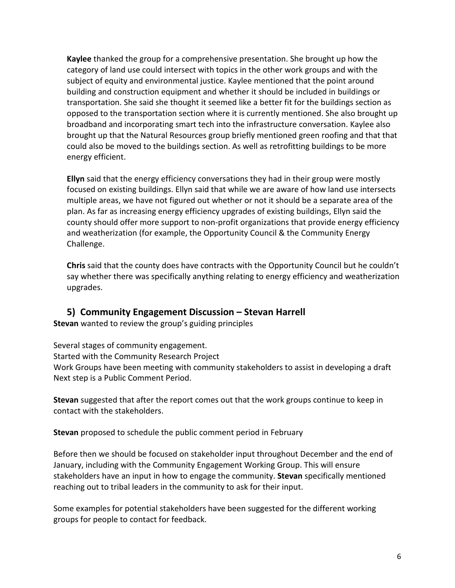**Kaylee** thanked the group for a comprehensive presentation. She brought up how the category of land use could intersect with topics in the other work groups and with the subject of equity and environmental justice. Kaylee mentioned that the point around building and construction equipment and whether it should be included in buildings or transportation. She said she thought it seemed like a better fit for the buildings section as opposed to the transportation section where it is currently mentioned. She also brought up broadband and incorporating smart tech into the infrastructure conversation. Kaylee also brought up that the Natural Resources group briefly mentioned green roofing and that that could also be moved to the buildings section. As well as retrofitting buildings to be more energy efficient.

**Ellyn** said that the energy efficiency conversations they had in their group were mostly focused on existing buildings. Ellyn said that while we are aware of how land use intersects multiple areas, we have not figured out whether or not it should be a separate area of the plan. As far as increasing energy efficiency upgrades of existing buildings, Ellyn said the county should offer more support to non-profit organizations that provide energy efficiency and weatherization (for example, the Opportunity Council & the Community Energy Challenge.

**Chris** said that the county does have contracts with the Opportunity Council but he couldn't say whether there was specifically anything relating to energy efficiency and weatherization upgrades.

# **5) Community Engagement Discussion – Stevan Harrell**

**Stevan** wanted to review the group's guiding principles

Several stages of community engagement. Started with the Community Research Project Work Groups have been meeting with community stakeholders to assist in developing a draft Next step is a Public Comment Period.

**Stevan** suggested that after the report comes out that the work groups continue to keep in contact with the stakeholders.

**Stevan** proposed to schedule the public comment period in February

Before then we should be focused on stakeholder input throughout December and the end of January, including with the Community Engagement Working Group. This will ensure stakeholders have an input in how to engage the community. **Stevan** specifically mentioned reaching out to tribal leaders in the community to ask for their input.

Some examples for potential stakeholders have been suggested for the different working groups for people to contact for feedback.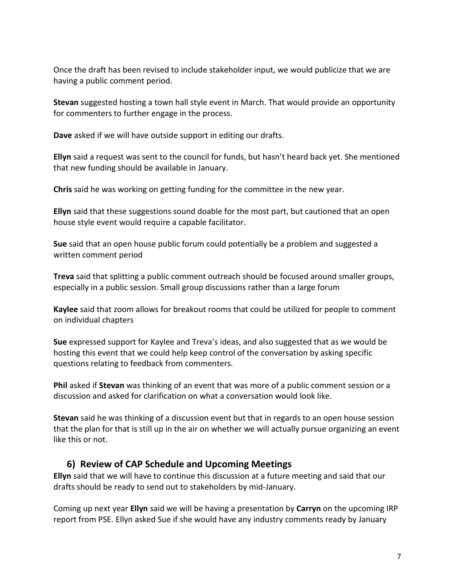Once the draft has been revised to include stakeholder input, we would publicize that we are having a public comment period.

**Stevan** suggested hosting a town hall style event in March. That would provide an opportunity for commenters to further engage in the process.

**Dave** asked if we will have outside support in editing our drafts.

**Ellyn** said a request was sent to the council for funds, but hasn't heard back yet. She mentioned that new funding should be available in January.

**Chris** said he was working on getting funding for the committee in the new year.

**Ellyn** said that these suggestions sound doable for the most part, but cautioned that an open house style event would require a capable facilitator.

**Sue** said that an open house public forum could potentially be a problem and suggested a written comment period

**Treva** said that splitting a public comment outreach should be focused around smaller groups, especially in a public session. Small group discussions rather than a large forum

**Kaylee** said that zoom allows for breakout rooms that could be utilized for people to comment on individual chapters

**Sue** expressed support for Kaylee and Treva's ideas, and also suggested that as we would be hosting this event that we could help keep control of the conversation by asking specific questions relating to feedback from commenters.

**Phil** asked if **Stevan** was thinking of an event that was more of a public comment session or a discussion and asked for clarification on what a conversation would look like.

**Stevan** said he was thinking of a discussion event but that in regards to an open house session that the plan for that is still up in the air on whether we will actually pursue organizing an event like this or not.

## **6) Review of CAP Schedule and Upcoming Meetings**

**Ellyn** said that we will have to continue this discussion at a future meeting and said that our drafts should be ready to send out to stakeholders by mid-January.

Coming up next year **Ellyn** said we will be having a presentation by **Carryn** on the upcoming IRP report from PSE. Ellyn asked Sue if she would have any industry comments ready by January